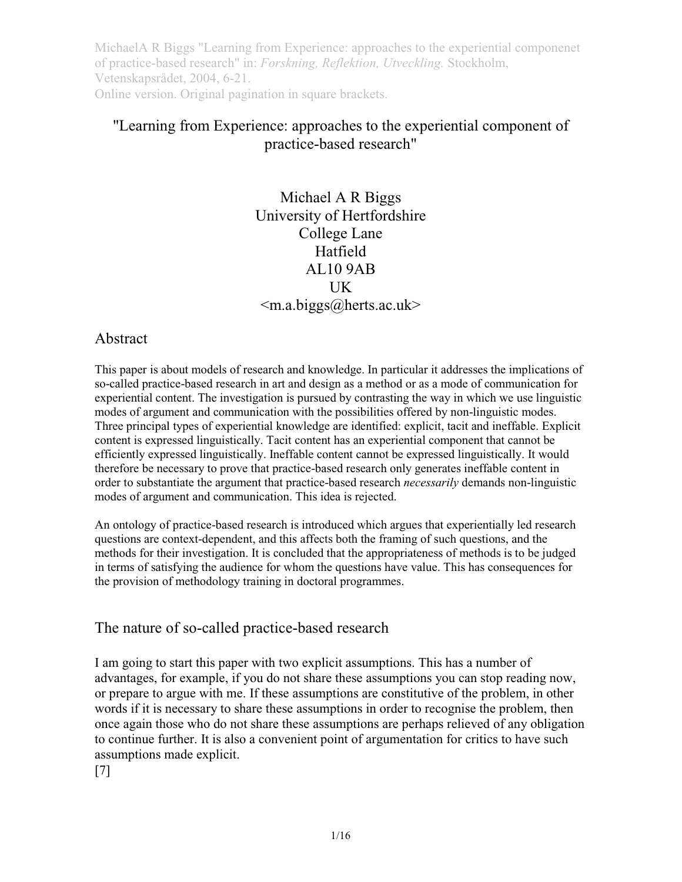# "Learning from Experience: approaches to the experiential component of practice-based research"

Michael A R Biggs University of Hertfordshire College Lane Hatfield AL10 9AB UK <m.a.biggs@herts.ac.uk>

### Abstract

This paper is about models of research and knowledge. In particular it addresses the implications of so-called practice-based research in art and design as a method or as a mode of communication for experiential content. The investigation is pursued by contrasting the way in which we use linguistic modes of argument and communication with the possibilities offered by non-linguistic modes. Three principal types of experiential knowledge are identified: explicit, tacit and ineffable. Explicit content is expressed linguistically. Tacit content has an experiential component that cannot be efficiently expressed linguistically. Ineffable content cannot be expressed linguistically. It would therefore be necessary to prove that practice-based research only generates ineffable content in order to substantiate the argument that practice-based research *necessarily* demands non-linguistic modes of argument and communication. This idea is rejected.

An ontology of practice-based research is introduced which argues that experientially led research questions are context-dependent, and this affects both the framing of such questions, and the methods for their investigation. It is concluded that the appropriateness of methods is to be judged in terms of satisfying the audience for whom the questions have value. This has consequences for the provision of methodology training in doctoral programmes.

# The nature of so-called practice-based research

I am going to start this paper with two explicit assumptions. This has a number of advantages, for example, if you do not share these assumptions you can stop reading now, or prepare to argue with me. If these assumptions are constitutive of the problem, in other words if it is necessary to share these assumptions in order to recognise the problem, then once again those who do not share these assumptions are perhaps relieved of any obligation to continue further. It is also a convenient point of argumentation for critics to have such assumptions made explicit.

[7]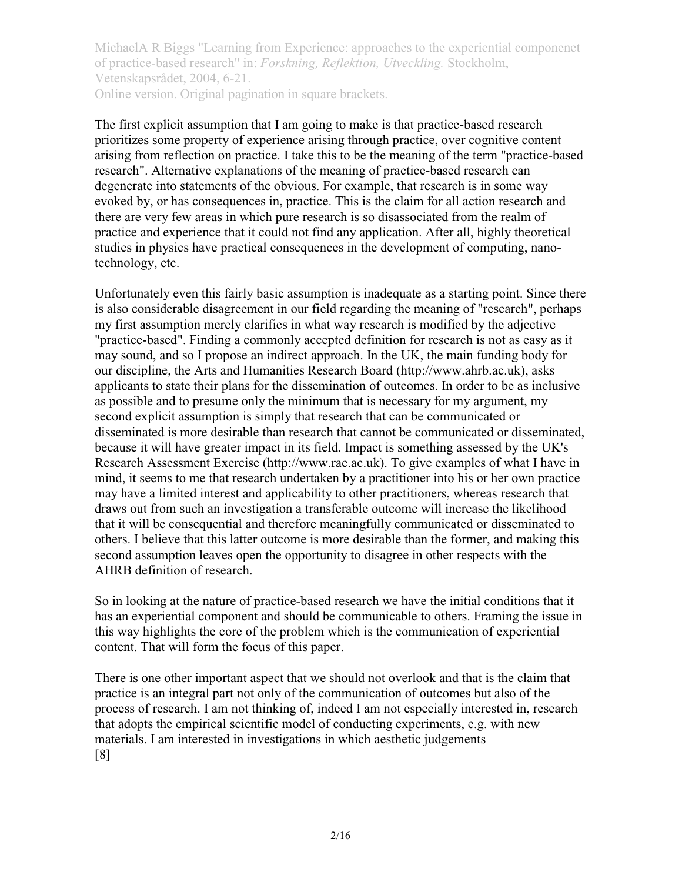The first explicit assumption that I am going to make is that practice-based research prioritizes some property of experience arising through practice, over cognitive content arising from reflection on practice. I take this to be the meaning of the term "practice-based research". Alternative explanations of the meaning of practice-based research can degenerate into statements of the obvious. For example, that research is in some way evoked by, or has consequences in, practice. This is the claim for all action research and there are very few areas in which pure research is so disassociated from the realm of practice and experience that it could not find any application. After all, highly theoretical studies in physics have practical consequences in the development of computing, nanotechnology, etc.

Unfortunately even this fairly basic assumption is inadequate as a starting point. Since there is also considerable disagreement in our field regarding the meaning of "research", perhaps my first assumption merely clarifies in what way research is modified by the adjective "practice-based". Finding a commonly accepted definition for research is not as easy as it may sound, and so I propose an indirect approach. In the UK, the main funding body for our discipline, the Arts and Humanities Research Board (http://www.ahrb.ac.uk), asks applicants to state their plans for the dissemination of outcomes. In order to be as inclusive as possible and to presume only the minimum that is necessary for my argument, my second explicit assumption is simply that research that can be communicated or disseminated is more desirable than research that cannot be communicated or disseminated, because it will have greater impact in its field. Impact is something assessed by the UK's Research Assessment Exercise (http://www.rae.ac.uk). To give examples of what I have in mind, it seems to me that research undertaken by a practitioner into his or her own practice may have a limited interest and applicability to other practitioners, whereas research that draws out from such an investigation a transferable outcome will increase the likelihood that it will be consequential and therefore meaningfully communicated or disseminated to others. I believe that this latter outcome is more desirable than the former, and making this second assumption leaves open the opportunity to disagree in other respects with the AHRB definition of research.

So in looking at the nature of practice-based research we have the initial conditions that it has an experiential component and should be communicable to others. Framing the issue in this way highlights the core of the problem which is the communication of experiential content. That will form the focus of this paper.

There is one other important aspect that we should not overlook and that is the claim that practice is an integral part not only of the communication of outcomes but also of the process of research. I am not thinking of, indeed I am not especially interested in, research that adopts the empirical scientific model of conducting experiments, e.g. with new materials. I am interested in investigations in which aesthetic judgements [8]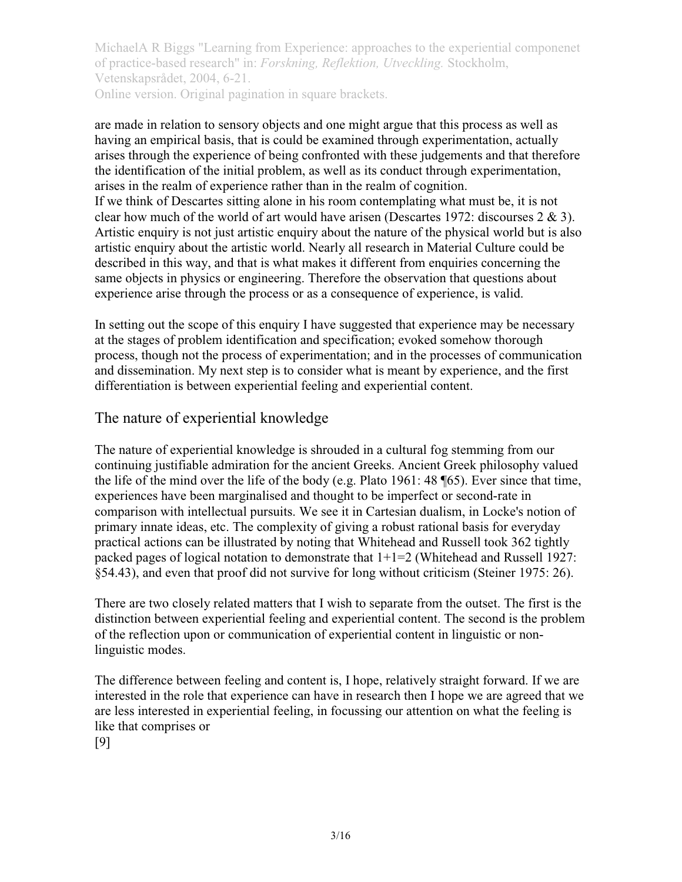are made in relation to sensory objects and one might argue that this process as well as having an empirical basis, that is could be examined through experimentation, actually arises through the experience of being confronted with these judgements and that therefore the identification of the initial problem, as well as its conduct through experimentation, arises in the realm of experience rather than in the realm of cognition.

If we think of Descartes sitting alone in his room contemplating what must be, it is not clear how much of the world of art would have arisen (Descartes 1972; discourses  $2 \& 3$ ). Artistic enquiry is not just artistic enquiry about the nature of the physical world but is also artistic enquiry about the artistic world. Nearly all research in Material Culture could be described in this way, and that is what makes it different from enquiries concerning the same objects in physics or engineering. Therefore the observation that questions about experience arise through the process or as a consequence of experience, is valid.

In setting out the scope of this enquiry I have suggested that experience may be necessary at the stages of problem identification and specification; evoked somehow thorough process, though not the process of experimentation; and in the processes of communication and dissemination. My next step is to consider what is meant by experience, and the first differentiation is between experiential feeling and experiential content.

# The nature of experiential knowledge

The nature of experiential knowledge is shrouded in a cultural fog stemming from our continuing justifiable admiration for the ancient Greeks. Ancient Greek philosophy valued the life of the mind over the life of the body (e.g. Plato 1961: 48 ¶65). Ever since that time, experiences have been marginalised and thought to be imperfect or second-rate in comparison with intellectual pursuits. We see it in Cartesian dualism, in Locke's notion of primary innate ideas, etc. The complexity of giving a robust rational basis for everyday practical actions can be illustrated by noting that Whitehead and Russell took 362 tightly packed pages of logical notation to demonstrate that 1+1=2 (Whitehead and Russell 1927: §54.43), and even that proof did not survive for long without criticism (Steiner 1975: 26).

There are two closely related matters that I wish to separate from the outset. The first is the distinction between experiential feeling and experiential content. The second is the problem of the reflection upon or communication of experiential content in linguistic or nonlinguistic modes.

The difference between feeling and content is, I hope, relatively straight forward. If we are interested in the role that experience can have in research then I hope we are agreed that we are less interested in experiential feeling, in focussing our attention on what the feeling is like that comprises or

[9]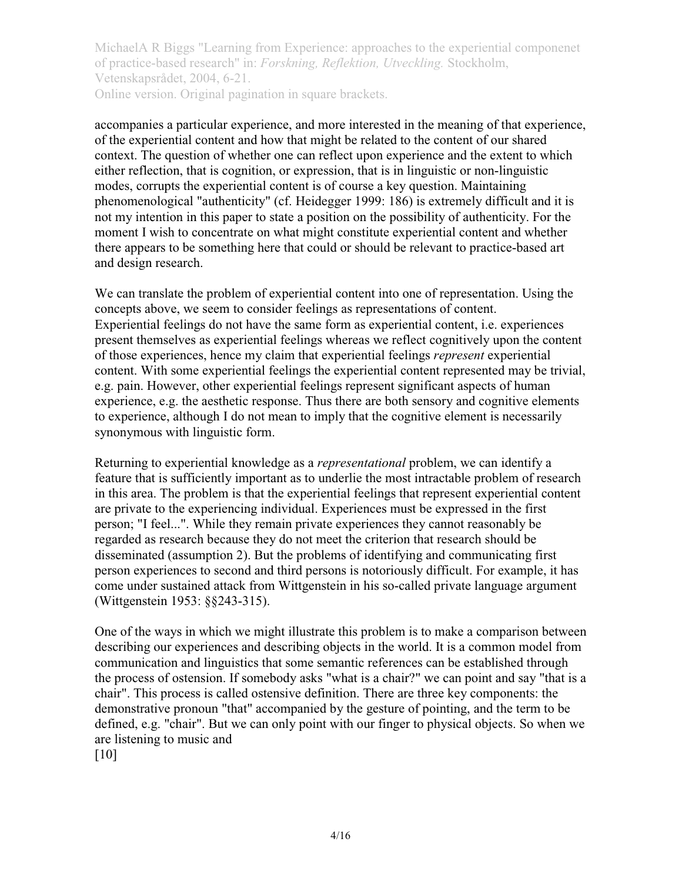accompanies a particular experience, and more interested in the meaning of that experience, of the experiential content and how that might be related to the content of our shared context. The question of whether one can reflect upon experience and the extent to which either reflection, that is cognition, or expression, that is in linguistic or non-linguistic modes, corrupts the experiential content is of course a key question. Maintaining phenomenological "authenticity" (cf. Heidegger 1999: 186) is extremely difficult and it is not my intention in this paper to state a position on the possibility of authenticity. For the moment I wish to concentrate on what might constitute experiential content and whether there appears to be something here that could or should be relevant to practice-based art and design research.

We can translate the problem of experiential content into one of representation. Using the concepts above, we seem to consider feelings as representations of content. Experiential feelings do not have the same form as experiential content, i.e. experiences present themselves as experiential feelings whereas we reflect cognitively upon the content of those experiences, hence my claim that experiential feelings *represent* experiential content. With some experiential feelings the experiential content represented may be trivial, e.g. pain. However, other experiential feelings represent significant aspects of human experience, e.g. the aesthetic response. Thus there are both sensory and cognitive elements to experience, although I do not mean to imply that the cognitive element is necessarily synonymous with linguistic form.

Returning to experiential knowledge as a *representational* problem, we can identify a feature that is sufficiently important as to underlie the most intractable problem of research in this area. The problem is that the experiential feelings that represent experiential content are private to the experiencing individual. Experiences must be expressed in the first person; "I feel...". While they remain private experiences they cannot reasonably be regarded as research because they do not meet the criterion that research should be disseminated (assumption 2). But the problems of identifying and communicating first person experiences to second and third persons is notoriously difficult. For example, it has come under sustained attack from Wittgenstein in his so-called private language argument (Wittgenstein 1953: §§243-315).

One of the ways in which we might illustrate this problem is to make a comparison between describing our experiences and describing objects in the world. It is a common model from communication and linguistics that some semantic references can be established through the process of ostension. If somebody asks "what is a chair?" we can point and say "that is a chair". This process is called ostensive definition. There are three key components: the demonstrative pronoun "that" accompanied by the gesture of pointing, and the term to be defined, e.g. "chair". But we can only point with our finger to physical objects. So when we are listening to music and

[10]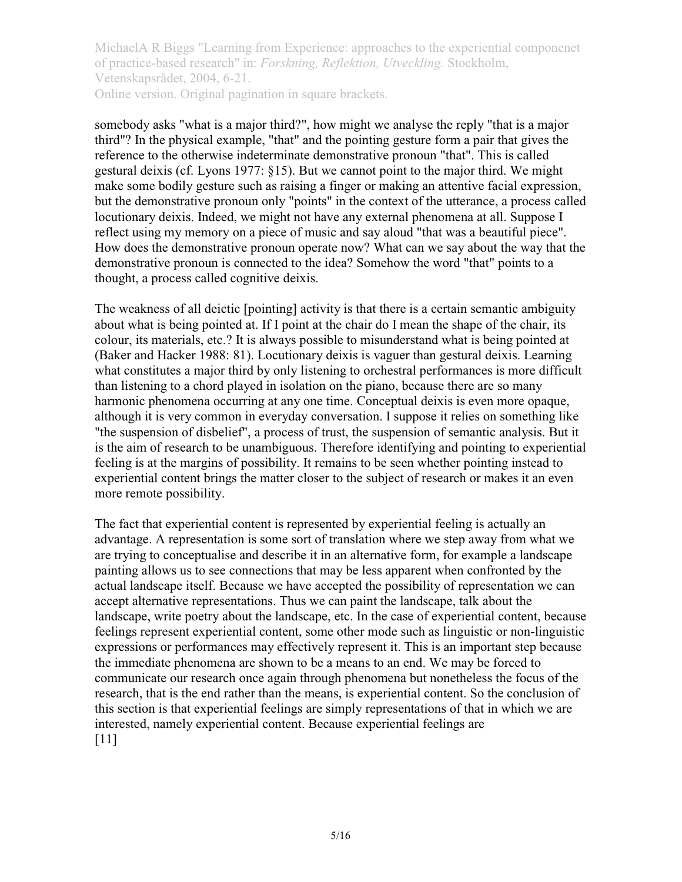somebody asks "what is a major third?", how might we analyse the reply "that is a major third"? In the physical example, "that" and the pointing gesture form a pair that gives the reference to the otherwise indeterminate demonstrative pronoun "that". This is called gestural deixis (cf. Lyons 1977: §15). But we cannot point to the major third. We might make some bodily gesture such as raising a finger or making an attentive facial expression, but the demonstrative pronoun only "points" in the context of the utterance, a process called locutionary deixis. Indeed, we might not have any external phenomena at all. Suppose I reflect using my memory on a piece of music and say aloud "that was a beautiful piece". How does the demonstrative pronoun operate now? What can we say about the way that the demonstrative pronoun is connected to the idea? Somehow the word "that" points to a thought, a process called cognitive deixis.

The weakness of all deictic [pointing] activity is that there is a certain semantic ambiguity about what is being pointed at. If I point at the chair do I mean the shape of the chair, its colour, its materials, etc.? It is always possible to misunderstand what is being pointed at (Baker and Hacker 1988: 81). Locutionary deixis is vaguer than gestural deixis. Learning what constitutes a major third by only listening to orchestral performances is more difficult than listening to a chord played in isolation on the piano, because there are so many harmonic phenomena occurring at any one time. Conceptual deixis is even more opaque, although it is very common in everyday conversation. I suppose it relies on something like "the suspension of disbelief", a process of trust, the suspension of semantic analysis. But it is the aim of research to be unambiguous. Therefore identifying and pointing to experiential feeling is at the margins of possibility. It remains to be seen whether pointing instead to experiential content brings the matter closer to the subject of research or makes it an even more remote possibility.

The fact that experiential content is represented by experiential feeling is actually an advantage. A representation is some sort of translation where we step away from what we are trying to conceptualise and describe it in an alternative form, for example a landscape painting allows us to see connections that may be less apparent when confronted by the actual landscape itself. Because we have accepted the possibility of representation we can accept alternative representations. Thus we can paint the landscape, talk about the landscape, write poetry about the landscape, etc. In the case of experiential content, because feelings represent experiential content, some other mode such as linguistic or non-linguistic expressions or performances may effectively represent it. This is an important step because the immediate phenomena are shown to be a means to an end. We may be forced to communicate our research once again through phenomena but nonetheless the focus of the research, that is the end rather than the means, is experiential content. So the conclusion of this section is that experiential feelings are simply representations of that in which we are interested, namely experiential content. Because experiential feelings are [11]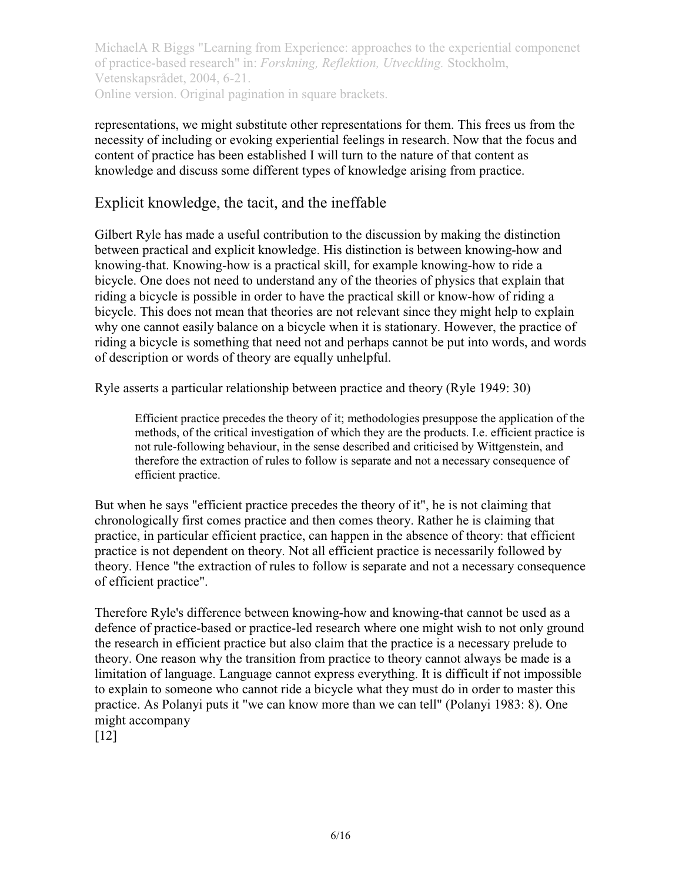representations, we might substitute other representations for them. This frees us from the necessity of including or evoking experiential feelings in research. Now that the focus and content of practice has been established I will turn to the nature of that content as knowledge and discuss some different types of knowledge arising from practice.

#### Explicit knowledge, the tacit, and the ineffable

Gilbert Ryle has made a useful contribution to the discussion by making the distinction between practical and explicit knowledge. His distinction is between knowing-how and knowing-that. Knowing-how is a practical skill, for example knowing-how to ride a bicycle. One does not need to understand any of the theories of physics that explain that riding a bicycle is possible in order to have the practical skill or know-how of riding a bicycle. This does not mean that theories are not relevant since they might help to explain why one cannot easily balance on a bicycle when it is stationary. However, the practice of riding a bicycle is something that need not and perhaps cannot be put into words, and words of description or words of theory are equally unhelpful.

Ryle asserts a particular relationship between practice and theory (Ryle 1949: 30)

Efficient practice precedes the theory of it; methodologies presuppose the application of the methods, of the critical investigation of which they are the products. I.e. efficient practice is not rule-following behaviour, in the sense described and criticised by Wittgenstein, and therefore the extraction of rules to follow is separate and not a necessary consequence of efficient practice.

But when he says "efficient practice precedes the theory of it", he is not claiming that chronologically first comes practice and then comes theory. Rather he is claiming that practice, in particular efficient practice, can happen in the absence of theory: that efficient practice is not dependent on theory. Not all efficient practice is necessarily followed by theory. Hence "the extraction of rules to follow is separate and not a necessary consequence of efficient practice".

Therefore Ryle's difference between knowing-how and knowing-that cannot be used as a defence of practice-based or practice-led research where one might wish to not only ground the research in efficient practice but also claim that the practice is a necessary prelude to theory. One reason why the transition from practice to theory cannot always be made is a limitation of language. Language cannot express everything. It is difficult if not impossible to explain to someone who cannot ride a bicycle what they must do in order to master this practice. As Polanyi puts it "we can know more than we can tell" (Polanyi 1983: 8). One might accompany

[12]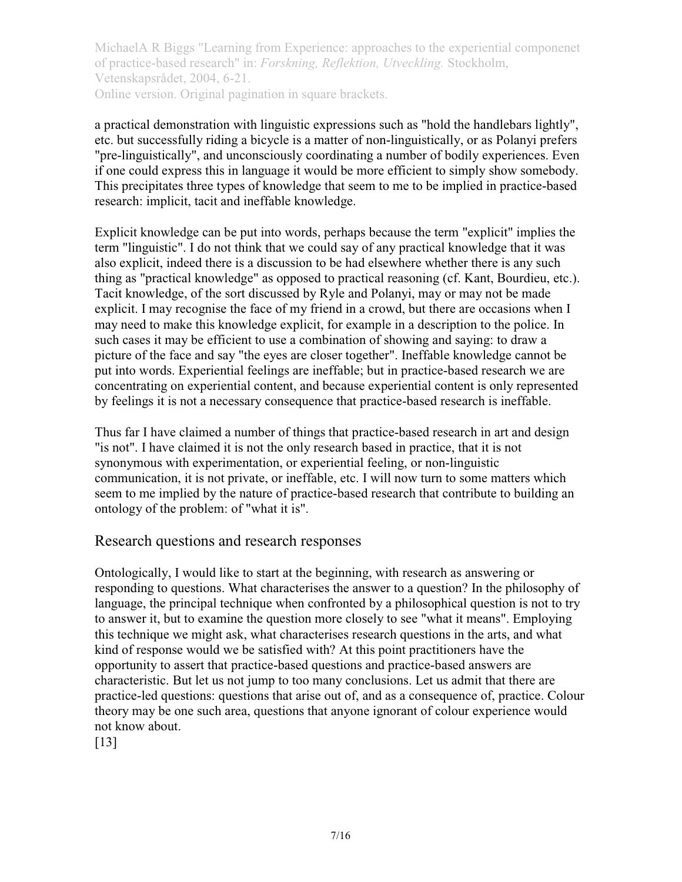a practical demonstration with linguistic expressions such as "hold the handlebars lightly", etc. but successfully riding a bicycle is a matter of non-linguistically, or as Polanyi prefers "pre-linguistically", and unconsciously coordinating a number of bodily experiences. Even if one could express this in language it would be more efficient to simply show somebody. This precipitates three types of knowledge that seem to me to be implied in practice-based research: implicit, tacit and ineffable knowledge.

Explicit knowledge can be put into words, perhaps because the term "explicit" implies the term "linguistic". I do not think that we could say of any practical knowledge that it was also explicit, indeed there is a discussion to be had elsewhere whether there is any such thing as "practical knowledge" as opposed to practical reasoning (cf. Kant, Bourdieu, etc.). Tacit knowledge, of the sort discussed by Ryle and Polanyi, may or may not be made explicit. I may recognise the face of my friend in a crowd, but there are occasions when I may need to make this knowledge explicit, for example in a description to the police. In such cases it may be efficient to use a combination of showing and saying: to draw a picture of the face and say "the eyes are closer together". Ineffable knowledge cannot be put into words. Experiential feelings are ineffable; but in practice-based research we are concentrating on experiential content, and because experiential content is only represented by feelings it is not a necessary consequence that practice-based research is ineffable.

Thus far I have claimed a number of things that practice-based research in art and design "is not". I have claimed it is not the only research based in practice, that it is not synonymous with experimentation, or experiential feeling, or non-linguistic communication, it is not private, or ineffable, etc. I will now turn to some matters which seem to me implied by the nature of practice-based research that contribute to building an ontology of the problem: of "what it is".

### Research questions and research responses

Ontologically, I would like to start at the beginning, with research as answering or responding to questions. What characterises the answer to a question? In the philosophy of language, the principal technique when confronted by a philosophical question is not to try to answer it, but to examine the question more closely to see "what it means". Employing this technique we might ask, what characterises research questions in the arts, and what kind of response would we be satisfied with? At this point practitioners have the opportunity to assert that practice-based questions and practice-based answers are characteristic. But let us not jump to too many conclusions. Let us admit that there are practice-led questions: questions that arise out of, and as a consequence of, practice. Colour theory may be one such area, questions that anyone ignorant of colour experience would not know about.

[13]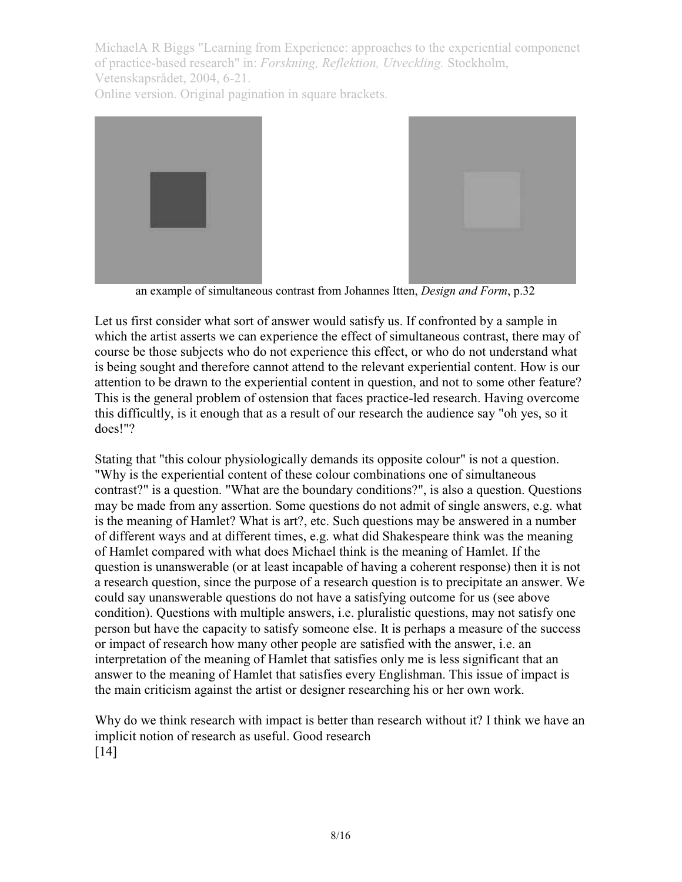MichaelA R Biggs "Learning from Experience: approaches to the experiential componenet of practice-based research" in: *Forskning, Reflektion, Utveckling.* Stockholm, Vetenskapsrådet, 2004, 6-21.

Online version. Original pagination in square brackets.



an example of simultaneous contrast from Johannes Itten, *Design and Form*, p.32

Let us first consider what sort of answer would satisfy us. If confronted by a sample in which the artist asserts we can experience the effect of simultaneous contrast, there may of course be those subjects who do not experience this effect, or who do not understand what is being sought and therefore cannot attend to the relevant experiential content. How is our attention to be drawn to the experiential content in question, and not to some other feature? This is the general problem of ostension that faces practice-led research. Having overcome this difficultly, is it enough that as a result of our research the audience say "oh yes, so it does!"?

Stating that "this colour physiologically demands its opposite colour" is not a question. "Why is the experiential content of these colour combinations one of simultaneous contrast?" is a question. "What are the boundary conditions?", is also a question. Questions may be made from any assertion. Some questions do not admit of single answers, e.g. what is the meaning of Hamlet? What is art?, etc. Such questions may be answered in a number of different ways and at different times, e.g. what did Shakespeare think was the meaning of Hamlet compared with what does Michael think is the meaning of Hamlet. If the question is unanswerable (or at least incapable of having a coherent response) then it is not a research question, since the purpose of a research question is to precipitate an answer. We could say unanswerable questions do not have a satisfying outcome for us (see above condition). Questions with multiple answers, i.e. pluralistic questions, may not satisfy one person but have the capacity to satisfy someone else. It is perhaps a measure of the success or impact of research how many other people are satisfied with the answer, i.e. an interpretation of the meaning of Hamlet that satisfies only me is less significant that an answer to the meaning of Hamlet that satisfies every Englishman. This issue of impact is the main criticism against the artist or designer researching his or her own work.

Why do we think research with impact is better than research without it? I think we have an implicit notion of research as useful. Good research [14]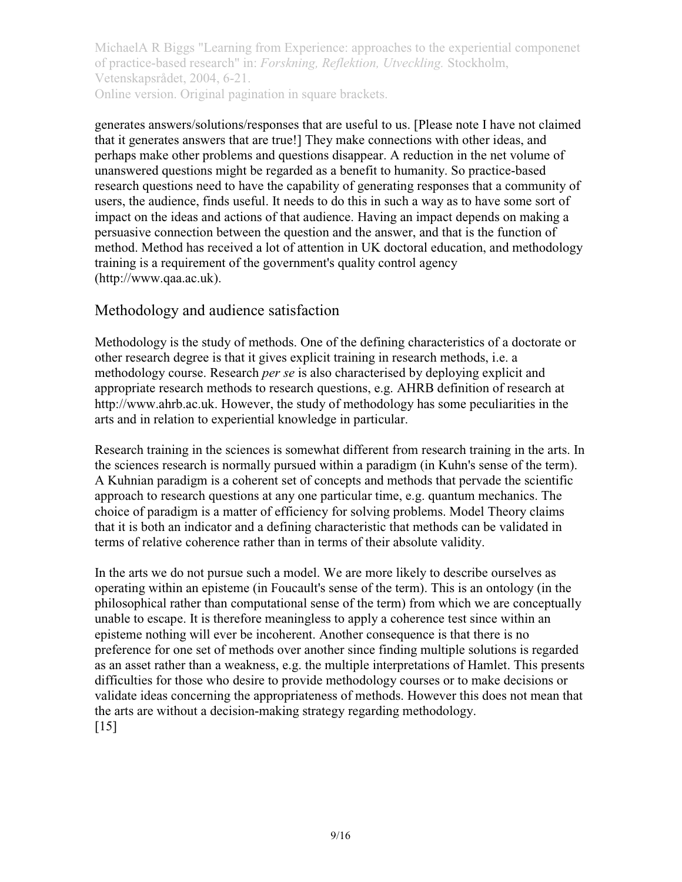generates answers/solutions/responses that are useful to us. [Please note I have not claimed that it generates answers that are true!] They make connections with other ideas, and perhaps make other problems and questions disappear. A reduction in the net volume of unanswered questions might be regarded as a benefit to humanity. So practice-based research questions need to have the capability of generating responses that a community of users, the audience, finds useful. It needs to do this in such a way as to have some sort of impact on the ideas and actions of that audience. Having an impact depends on making a persuasive connection between the question and the answer, and that is the function of method. Method has received a lot of attention in UK doctoral education, and methodology training is a requirement of the government's quality control agency (http://www.qaa.ac.uk).

### Methodology and audience satisfaction

Methodology is the study of methods. One of the defining characteristics of a doctorate or other research degree is that it gives explicit training in research methods, i.e. a methodology course. Research *per se* is also characterised by deploying explicit and appropriate research methods to research questions, e.g. AHRB definition of research at http://www.ahrb.ac.uk. However, the study of methodology has some peculiarities in the arts and in relation to experiential knowledge in particular.

Research training in the sciences is somewhat different from research training in the arts. In the sciences research is normally pursued within a paradigm (in Kuhn's sense of the term). A Kuhnian paradigm is a coherent set of concepts and methods that pervade the scientific approach to research questions at any one particular time, e.g. quantum mechanics. The choice of paradigm is a matter of efficiency for solving problems. Model Theory claims that it is both an indicator and a defining characteristic that methods can be validated in terms of relative coherence rather than in terms of their absolute validity.

In the arts we do not pursue such a model. We are more likely to describe ourselves as operating within an episteme (in Foucault's sense of the term). This is an ontology (in the philosophical rather than computational sense of the term) from which we are conceptually unable to escape. It is therefore meaningless to apply a coherence test since within an episteme nothing will ever be incoherent. Another consequence is that there is no preference for one set of methods over another since finding multiple solutions is regarded as an asset rather than a weakness, e.g. the multiple interpretations of Hamlet. This presents difficulties for those who desire to provide methodology courses or to make decisions or validate ideas concerning the appropriateness of methods. However this does not mean that the arts are without a decision-making strategy regarding methodology.  $[15]$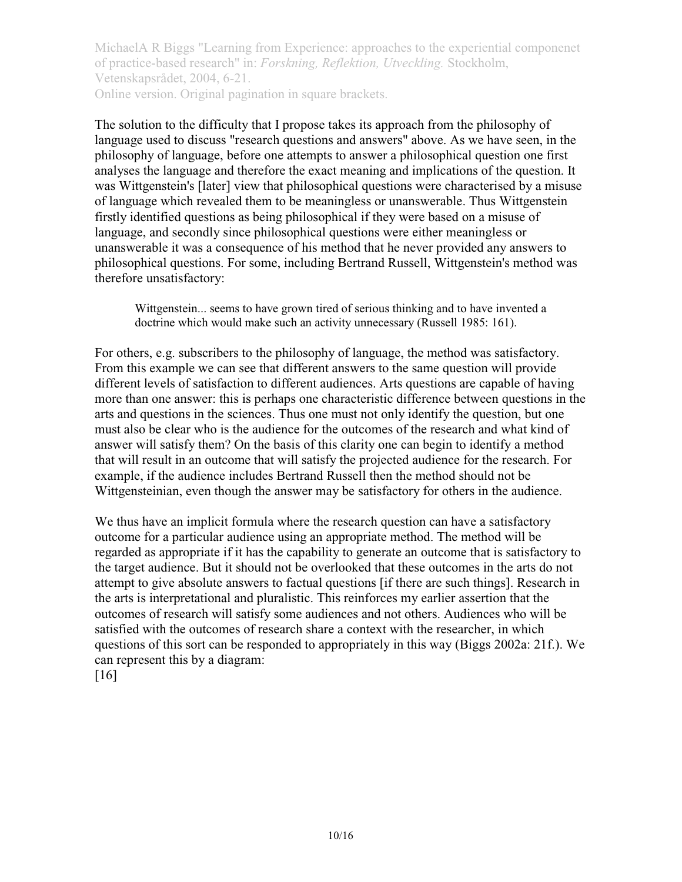The solution to the difficulty that I propose takes its approach from the philosophy of language used to discuss "research questions and answers" above. As we have seen, in the philosophy of language, before one attempts to answer a philosophical question one first analyses the language and therefore the exact meaning and implications of the question. It was Wittgenstein's [later] view that philosophical questions were characterised by a misuse of language which revealed them to be meaningless or unanswerable. Thus Wittgenstein firstly identified questions as being philosophical if they were based on a misuse of language, and secondly since philosophical questions were either meaningless or unanswerable it was a consequence of his method that he never provided any answers to philosophical questions. For some, including Bertrand Russell, Wittgenstein's method was therefore unsatisfactory:

Wittgenstein... seems to have grown tired of serious thinking and to have invented a doctrine which would make such an activity unnecessary (Russell 1985: 161).

For others, e.g. subscribers to the philosophy of language, the method was satisfactory. From this example we can see that different answers to the same question will provide different levels of satisfaction to different audiences. Arts questions are capable of having more than one answer: this is perhaps one characteristic difference between questions in the arts and questions in the sciences. Thus one must not only identify the question, but one must also be clear who is the audience for the outcomes of the research and what kind of answer will satisfy them? On the basis of this clarity one can begin to identify a method that will result in an outcome that will satisfy the projected audience for the research. For example, if the audience includes Bertrand Russell then the method should not be Wittgensteinian, even though the answer may be satisfactory for others in the audience.

We thus have an implicit formula where the research question can have a satisfactory outcome for a particular audience using an appropriate method. The method will be regarded as appropriate if it has the capability to generate an outcome that is satisfactory to the target audience. But it should not be overlooked that these outcomes in the arts do not attempt to give absolute answers to factual questions [if there are such things]. Research in the arts is interpretational and pluralistic. This reinforces my earlier assertion that the outcomes of research will satisfy some audiences and not others. Audiences who will be satisfied with the outcomes of research share a context with the researcher, in which questions of this sort can be responded to appropriately in this way (Biggs 2002a: 21f.). We can represent this by a diagram: [16]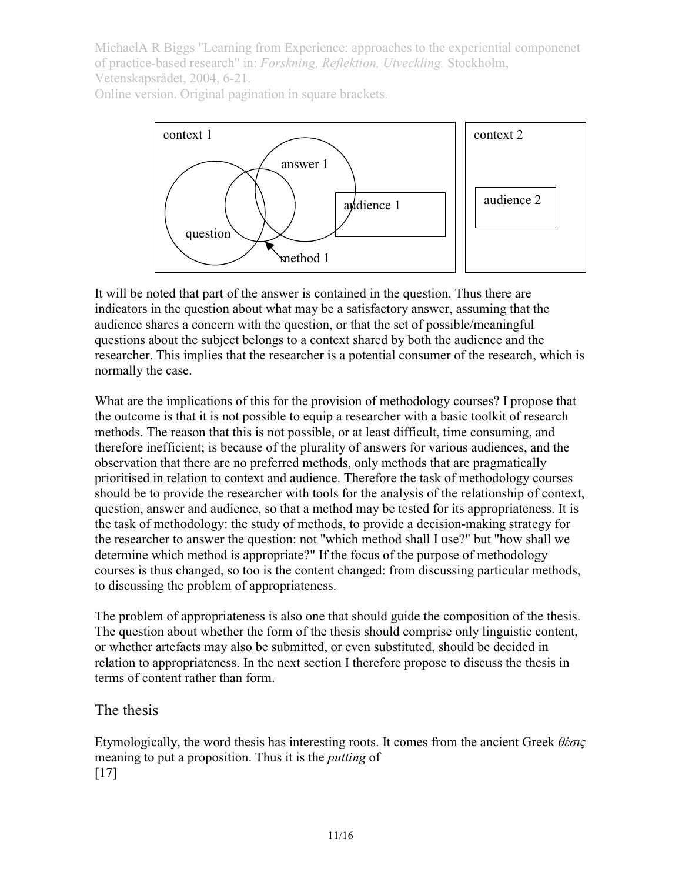MichaelA R Biggs "Learning from Experience: approaches to the experiential componenet of practice-based research" in: *Forskning, Reflektion, Utveckling.* Stockholm, Vetenskapsrådet, 2004, 6-21.

Online version. Original pagination in square brackets.



It will be noted that part of the answer is contained in the question. Thus there are indicators in the question about what may be a satisfactory answer, assuming that the audience shares a concern with the question, or that the set of possible/meaningful questions about the subject belongs to a context shared by both the audience and the researcher. This implies that the researcher is a potential consumer of the research, which is normally the case.

What are the implications of this for the provision of methodology courses? I propose that the outcome is that it is not possible to equip a researcher with a basic toolkit of research methods. The reason that this is not possible, or at least difficult, time consuming, and therefore inefficient; is because of the plurality of answers for various audiences, and the observation that there are no preferred methods, only methods that are pragmatically prioritised in relation to context and audience. Therefore the task of methodology courses should be to provide the researcher with tools for the analysis of the relationship of context, question, answer and audience, so that a method may be tested for its appropriateness. It is the task of methodology: the study of methods, to provide a decision-making strategy for the researcher to answer the question: not "which method shall I use?" but "how shall we determine which method is appropriate?" If the focus of the purpose of methodology courses is thus changed, so too is the content changed: from discussing particular methods, to discussing the problem of appropriateness.

The problem of appropriateness is also one that should guide the composition of the thesis. The question about whether the form of the thesis should comprise only linguistic content, or whether artefacts may also be submitted, or even substituted, should be decided in relation to appropriateness. In the next section I therefore propose to discuss the thesis in terms of content rather than form.

### The thesis

Etymologically, the word thesis has interesting roots. It comes from the ancient Greek *θέσις* meaning to put a proposition. Thus it is the *putting* of  $[17]$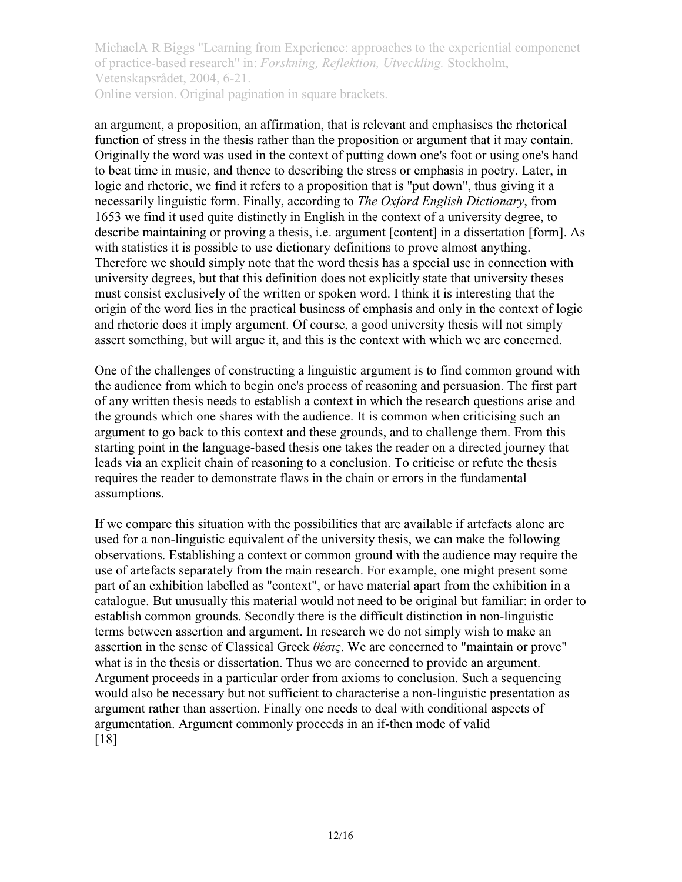an argument, a proposition, an affirmation, that is relevant and emphasises the rhetorical function of stress in the thesis rather than the proposition or argument that it may contain. Originally the word was used in the context of putting down one's foot or using one's hand to beat time in music, and thence to describing the stress or emphasis in poetry. Later, in logic and rhetoric, we find it refers to a proposition that is "put down", thus giving it a necessarily linguistic form. Finally, according to *The Oxford English Dictionary*, from 1653 we find it used quite distinctly in English in the context of a university degree, to describe maintaining or proving a thesis, i.e. argument [content] in a dissertation [form]. As with statistics it is possible to use dictionary definitions to prove almost anything. Therefore we should simply note that the word thesis has a special use in connection with university degrees, but that this definition does not explicitly state that university theses must consist exclusively of the written or spoken word. I think it is interesting that the origin of the word lies in the practical business of emphasis and only in the context of logic and rhetoric does it imply argument. Of course, a good university thesis will not simply assert something, but will argue it, and this is the context with which we are concerned.

One of the challenges of constructing a linguistic argument is to find common ground with the audience from which to begin one's process of reasoning and persuasion. The first part of any written thesis needs to establish a context in which the research questions arise and the grounds which one shares with the audience. It is common when criticising such an argument to go back to this context and these grounds, and to challenge them. From this starting point in the language-based thesis one takes the reader on a directed journey that leads via an explicit chain of reasoning to a conclusion. To criticise or refute the thesis requires the reader to demonstrate flaws in the chain or errors in the fundamental assumptions.

If we compare this situation with the possibilities that are available if artefacts alone are used for a non-linguistic equivalent of the university thesis, we can make the following observations. Establishing a context or common ground with the audience may require the use of artefacts separately from the main research. For example, one might present some part of an exhibition labelled as "context", or have material apart from the exhibition in a catalogue. But unusually this material would not need to be original but familiar: in order to establish common grounds. Secondly there is the difficult distinction in non-linguistic terms between assertion and argument. In research we do not simply wish to make an assertion in the sense of Classical Greek *θέσις*. We are concerned to "maintain or prove" what is in the thesis or dissertation. Thus we are concerned to provide an argument. Argument proceeds in a particular order from axioms to conclusion. Such a sequencing would also be necessary but not sufficient to characterise a non-linguistic presentation as argument rather than assertion. Finally one needs to deal with conditional aspects of argumentation. Argument commonly proceeds in an if-then mode of valid [18]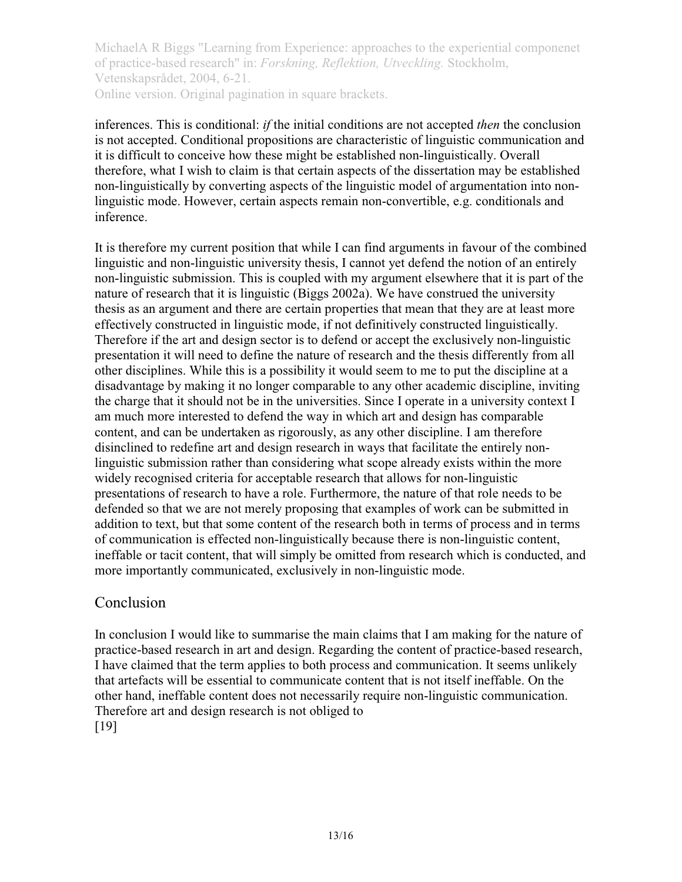inferences. This is conditional: *if* the initial conditions are not accepted *then* the conclusion is not accepted. Conditional propositions are characteristic of linguistic communication and it is difficult to conceive how these might be established non-linguistically. Overall therefore, what I wish to claim is that certain aspects of the dissertation may be established non-linguistically by converting aspects of the linguistic model of argumentation into nonlinguistic mode. However, certain aspects remain non-convertible, e.g. conditionals and inference.

It is therefore my current position that while I can find arguments in favour of the combined linguistic and non-linguistic university thesis, I cannot yet defend the notion of an entirely non-linguistic submission. This is coupled with my argument elsewhere that it is part of the nature of research that it is linguistic (Biggs 2002a). We have construed the university thesis as an argument and there are certain properties that mean that they are at least more effectively constructed in linguistic mode, if not definitively constructed linguistically. Therefore if the art and design sector is to defend or accept the exclusively non-linguistic presentation it will need to define the nature of research and the thesis differently from all other disciplines. While this is a possibility it would seem to me to put the discipline at a disadvantage by making it no longer comparable to any other academic discipline, inviting the charge that it should not be in the universities. Since I operate in a university context I am much more interested to defend the way in which art and design has comparable content, and can be undertaken as rigorously, as any other discipline. I am therefore disinclined to redefine art and design research in ways that facilitate the entirely nonlinguistic submission rather than considering what scope already exists within the more widely recognised criteria for acceptable research that allows for non-linguistic presentations of research to have a role. Furthermore, the nature of that role needs to be defended so that we are not merely proposing that examples of work can be submitted in addition to text, but that some content of the research both in terms of process and in terms of communication is effected non-linguistically because there is non-linguistic content, ineffable or tacit content, that will simply be omitted from research which is conducted, and more importantly communicated, exclusively in non-linguistic mode.

# Conclusion

In conclusion I would like to summarise the main claims that I am making for the nature of practice-based research in art and design. Regarding the content of practice-based research, I have claimed that the term applies to both process and communication. It seems unlikely that artefacts will be essential to communicate content that is not itself ineffable. On the other hand, ineffable content does not necessarily require non-linguistic communication. Therefore art and design research is not obliged to [19]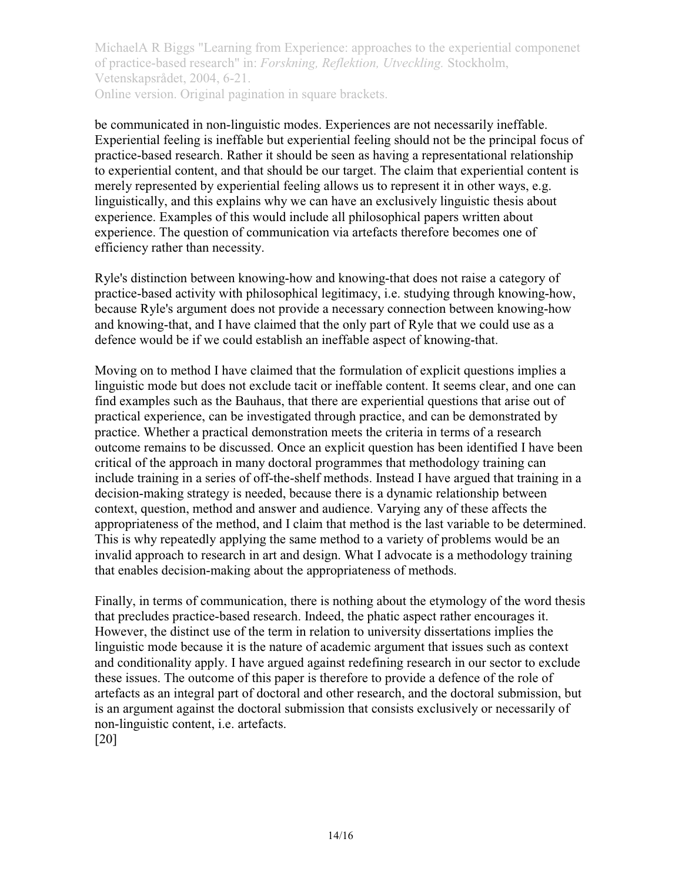be communicated in non-linguistic modes. Experiences are not necessarily ineffable. Experiential feeling is ineffable but experiential feeling should not be the principal focus of practice-based research. Rather it should be seen as having a representational relationship to experiential content, and that should be our target. The claim that experiential content is merely represented by experiential feeling allows us to represent it in other ways, e.g. linguistically, and this explains why we can have an exclusively linguistic thesis about experience. Examples of this would include all philosophical papers written about experience. The question of communication via artefacts therefore becomes one of efficiency rather than necessity.

Ryle's distinction between knowing-how and knowing-that does not raise a category of practice-based activity with philosophical legitimacy, i.e. studying through knowing-how, because Ryle's argument does not provide a necessary connection between knowing-how and knowing-that, and I have claimed that the only part of Ryle that we could use as a defence would be if we could establish an ineffable aspect of knowing-that.

Moving on to method I have claimed that the formulation of explicit questions implies a linguistic mode but does not exclude tacit or ineffable content. It seems clear, and one can find examples such as the Bauhaus, that there are experiential questions that arise out of practical experience, can be investigated through practice, and can be demonstrated by practice. Whether a practical demonstration meets the criteria in terms of a research outcome remains to be discussed. Once an explicit question has been identified I have been critical of the approach in many doctoral programmes that methodology training can include training in a series of off-the-shelf methods. Instead I have argued that training in a decision-making strategy is needed, because there is a dynamic relationship between context, question, method and answer and audience. Varying any of these affects the appropriateness of the method, and I claim that method is the last variable to be determined. This is why repeatedly applying the same method to a variety of problems would be an invalid approach to research in art and design. What I advocate is a methodology training that enables decision-making about the appropriateness of methods.

Finally, in terms of communication, there is nothing about the etymology of the word thesis that precludes practice-based research. Indeed, the phatic aspect rather encourages it. However, the distinct use of the term in relation to university dissertations implies the linguistic mode because it is the nature of academic argument that issues such as context and conditionality apply. I have argued against redefining research in our sector to exclude these issues. The outcome of this paper is therefore to provide a defence of the role of artefacts as an integral part of doctoral and other research, and the doctoral submission, but is an argument against the doctoral submission that consists exclusively or necessarily of non-linguistic content, i.e. artefacts.

[20]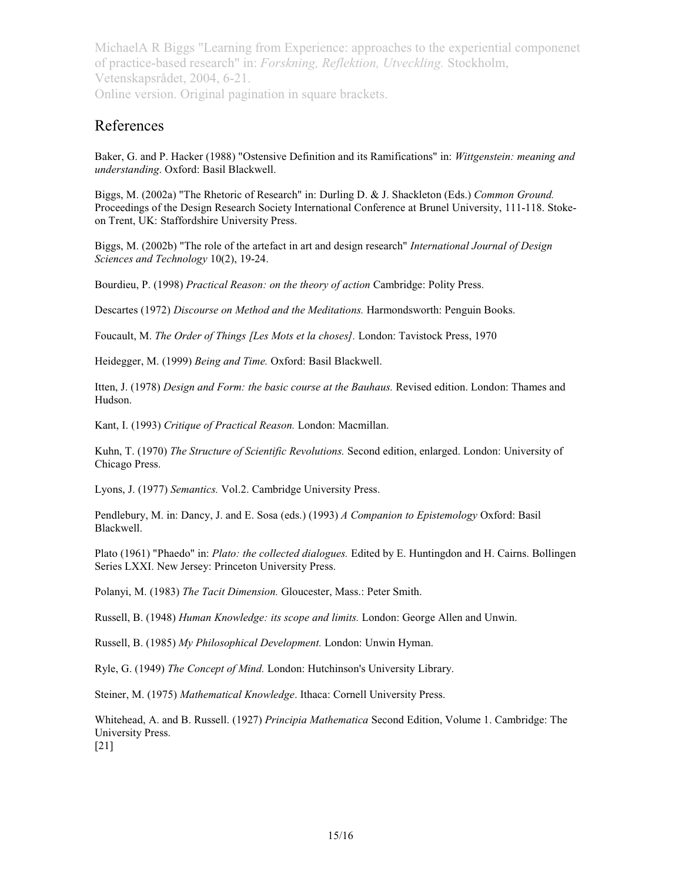#### References

Baker, G. and P. Hacker (1988) "Ostensive Definition and its Ramifications" in: *Wittgenstein: meaning and understanding*. Oxford: Basil Blackwell.

Biggs, M. (2002a) "The Rhetoric of Research" in: Durling D. & J. Shackleton (Eds.) *Common Ground.*  Proceedings of the Design Research Society International Conference at Brunel University, 111-118. Stokeon Trent, UK: Staffordshire University Press.

Biggs, M. (2002b) "The role of the artefact in art and design research" *International Journal of Design Sciences and Technology* 10(2), 19-24.

Bourdieu, P. (1998) *Practical Reason: on the theory of action* Cambridge: Polity Press.

Descartes (1972) *Discourse on Method and the Meditations.* Harmondsworth: Penguin Books.

Foucault, M. *The Order of Things [Les Mots et la choses].* London: Tavistock Press, 1970

Heidegger, M. (1999) *Being and Time.* Oxford: Basil Blackwell.

Itten, J. (1978) *Design and Form: the basic course at the Bauhaus.* Revised edition. London: Thames and Hudson.

Kant, I. (1993) *Critique of Practical Reason.* London: Macmillan.

Kuhn, T. (1970) *The Structure of Scientific Revolutions.* Second edition, enlarged. London: University of Chicago Press.

Lyons, J. (1977) *Semantics.* Vol.2. Cambridge University Press.

Pendlebury, M. in: Dancy, J. and E. Sosa (eds.) (1993) *A Companion to Epistemology* Oxford: Basil Blackwell.

Plato (1961) "Phaedo" in: *Plato: the collected dialogues.* Edited by E. Huntingdon and H. Cairns. Bollingen Series LXXI. New Jersey: Princeton University Press.

Polanyi, M. (1983) *The Tacit Dimension.* Gloucester, Mass.: Peter Smith.

Russell, B. (1948) *Human Knowledge: its scope and limits.* London: George Allen and Unwin.

Russell, B. (1985) *My Philosophical Development.* London: Unwin Hyman.

Ryle, G. (1949) *The Concept of Mind.* London: Hutchinson's University Library.

Steiner, M. (1975) *Mathematical Knowledge*. Ithaca: Cornell University Press.

Whitehead, A. and B. Russell. (1927) *Principia Mathematica* Second Edition, Volume 1. Cambridge: The University Press.

[21]